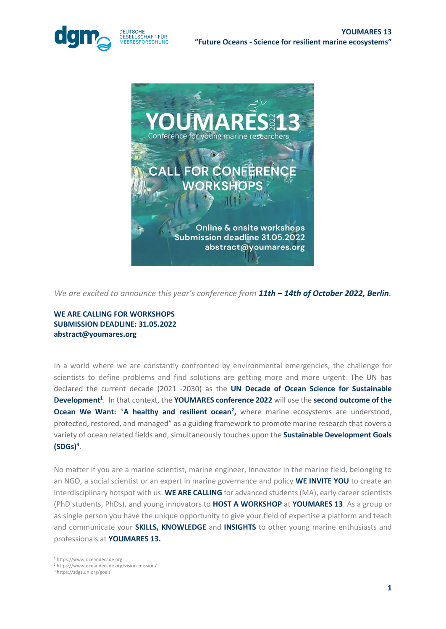



*We are excited to announce this year's conference from 11th – 14th of October 2022, Berlin.* 

## **WE ARE CALLING FOR WORKSHOPS SUBMISSION DEADLINE: 31.05.2022 abstract@youmares.org**

In a world where we are constantly confronted by environmental emergencies, the challenge for scientists to define problems and find solutions are getting more and more urgent. The UN has declared the current decade (2021 -2030) as the **UN Decade of Ocean Science for Sustainable Development<sup>1</sup>** . In that context, the **YOUMARES conference 2022** will use the **second outcome of the Ocean We Want: "A healthy and resilient ocean<sup>2</sup>, where marine ecosystems are understood,** protected, restored, and managed" as a guiding framework to promote marine research that covers a variety of ocean related fields and, simultaneously touches upon the **Sustainable Development Goals (SDGs)<sup>3</sup>** .

No matter if you are a marine scientist, marine engineer, innovator in the marine field, belonging to an NGO, a social scientist or an expert in marine governance and policy **WE INVITE YOU** to create an interdisciplinary hotspot with us. **WE ARE CALLING** for advanced students (MA), early career scientists (PhD students, PhDs), and young innovators to **HOST A WORKSHOP** at **YOUMARES 13**. As a group or as single person you have the unique opportunity to give your field of expertise a platform and teach and communicate your **SKILLS, KNOWLEDGE** and **INSIGHTS** to other young marine enthusiasts and professionals at **YOUMARES 13.**

<sup>1</sup> https://www.oceandecade.org

<sup>2</sup> https://www.oceandecade.org/vision-mission/

<sup>3</sup> https://sdgs.un.org/goals